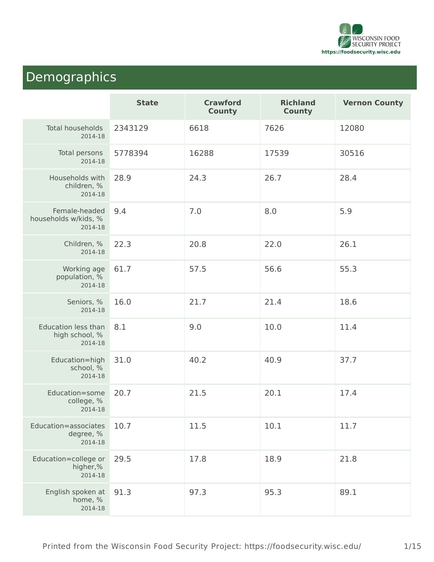

# Demographics

|                                                         | <b>State</b> | <b>Crawford</b><br><b>County</b> | <b>Richland</b><br><b>County</b> | <b>Vernon County</b> |
|---------------------------------------------------------|--------------|----------------------------------|----------------------------------|----------------------|
| Total households<br>2014-18                             | 2343129      | 6618                             | 7626                             | 12080                |
| Total persons<br>2014-18                                | 5778394      | 16288                            | 17539                            | 30516                |
| Households with<br>children, %<br>2014-18               | 28.9         | 24.3                             | 26.7                             | 28.4                 |
| Female-headed<br>households w/kids, %<br>2014-18        | 9.4          | 7.0                              | 8.0                              | 5.9                  |
| Children, %<br>2014-18                                  | 22.3         | 20.8                             | 22.0                             | 26.1                 |
| Working age<br>population, %<br>2014-18                 | 61.7         | 57.5                             | 56.6                             | 55.3                 |
| Seniors, %<br>2014-18                                   | 16.0         | 21.7                             | 21.4                             | 18.6                 |
| <b>Education less than</b><br>high school, %<br>2014-18 | 8.1          | 9.0                              | 10.0                             | 11.4                 |
| Education=high<br>school, %<br>2014-18                  | 31.0         | 40.2                             | 40.9                             | 37.7                 |
| Education=some<br>college, %<br>2014-18                 | 20.7         | 21.5                             | 20.1                             | 17.4                 |
| Education=associates<br>degree, %<br>2014-18            | 10.7         | 11.5                             | 10.1                             | 11.7                 |
| Education=college or<br>higher,%<br>2014-18             | 29.5         | 17.8                             | 18.9                             | 21.8                 |
| English spoken at<br>home, %<br>2014-18                 | 91.3         | 97.3                             | 95.3                             | 89.1                 |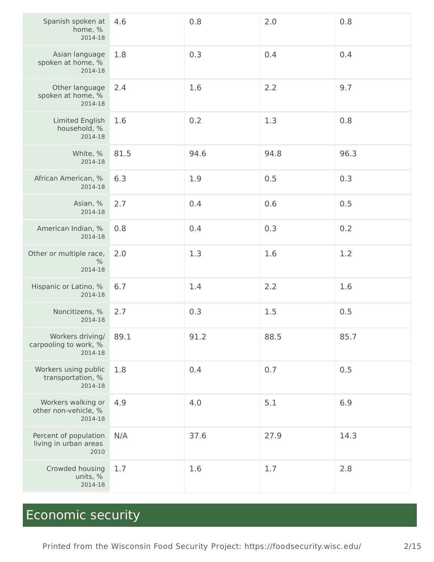| Spanish spoken at<br>home, %<br>2014-18                | 4.6  | 0.8  | 2.0  | 0.8  |
|--------------------------------------------------------|------|------|------|------|
| Asian language<br>spoken at home, %<br>2014-18         | 1.8  | 0.3  | 0.4  | 0.4  |
| Other language<br>spoken at home, %<br>2014-18         | 2.4  | 1.6  | 2.2  | 9.7  |
| Limited English<br>household, %<br>2014-18             | 1.6  | 0.2  | 1.3  | 0.8  |
| White, %<br>2014-18                                    | 81.5 | 94.6 | 94.8 | 96.3 |
| African American, %<br>2014-18                         | 6.3  | 1.9  | 0.5  | 0.3  |
| Asian, %<br>2014-18                                    | 2.7  | 0.4  | 0.6  | 0.5  |
| American Indian, %<br>2014-18                          | 0.8  | 0.4  | 0.3  | 0.2  |
| Other or multiple race,<br>$\frac{0}{0}$<br>2014-18    | 2.0  | 1.3  | 1.6  | 1.2  |
| Hispanic or Latino, %<br>2014-18                       | 6.7  | 1.4  | 2.2  | 1.6  |
| Noncitizens, %<br>2014-18                              | 2.7  | 0.3  | 1.5  | 0.5  |
| Workers driving/<br>carpooling to work, %<br>2014-18   | 89.1 | 91.2 | 88.5 | 85.7 |
| Workers using public<br>transportation, %<br>2014-18   | 1.8  | 0.4  | 0.7  | 0.5  |
| Workers walking or<br>other non-vehicle, %<br>2014-18  | 4.9  | 4.0  | 5.1  | 6.9  |
| Percent of population<br>living in urban areas<br>2010 | N/A  | 37.6 | 27.9 | 14.3 |
| Crowded housing<br>units, %<br>2014-18                 | 1.7  | 1.6  | 1.7  | 2.8  |

# Economic security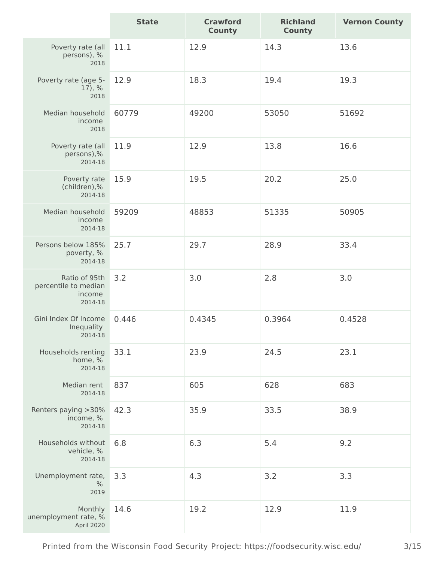|                                                            | <b>State</b> | <b>Crawford</b><br><b>County</b> | <b>Richland</b><br><b>County</b> | <b>Vernon County</b> |
|------------------------------------------------------------|--------------|----------------------------------|----------------------------------|----------------------|
| Poverty rate (all<br>persons), %<br>2018                   | 11.1         | 12.9                             | 14.3                             | 13.6                 |
| Poverty rate (age 5-<br>17, %<br>2018                      | 12.9         | 18.3                             | 19.4                             | 19.3                 |
| Median household<br>income<br>2018                         | 60779        | 49200                            | 53050                            | 51692                |
| Poverty rate (all<br>persons),%<br>2014-18                 | 11.9         | 12.9                             | 13.8                             | 16.6                 |
| Poverty rate<br>(children),%<br>2014-18                    | 15.9         | 19.5                             | 20.2                             | 25.0                 |
| Median household<br>income<br>2014-18                      | 59209        | 48853                            | 51335                            | 50905                |
| Persons below 185%<br>poverty, %<br>2014-18                | 25.7         | 29.7                             | 28.9                             | 33.4                 |
| Ratio of 95th<br>percentile to median<br>income<br>2014-18 | 3.2          | 3.0                              | 2.8                              | 3.0                  |
| Gini Index Of Income<br>Inequality<br>2014-18              | 0.446        | 0.4345                           | 0.3964                           | 0.4528               |
| Households renting<br>home, %<br>2014-18                   | 33.1         | 23.9                             | 24.5                             | 23.1                 |
| Median rent<br>2014-18                                     | 837          | 605                              | 628                              | 683                  |
| Renters paying > 30%<br>income, %<br>2014-18               | 42.3         | 35.9                             | 33.5                             | 38.9                 |
| Households without<br>vehicle, %<br>2014-18                | 6.8          | 6.3                              | 5.4                              | 9.2                  |
| Unemployment rate,<br>$\%$<br>2019                         | 3.3          | 4.3                              | 3.2                              | 3.3                  |
| Monthly<br>unemployment rate, %<br>April 2020              | 14.6         | 19.2                             | 12.9                             | 11.9                 |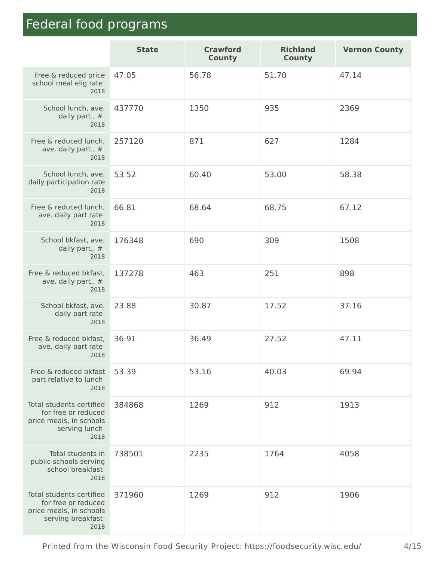# Federal food programs and the security Project Home

|                                                                                                         | <b>State</b> | <b>Crawford</b><br><b>County</b> | <b>Richland</b><br><b>County</b> | <b>Vernon County</b> |
|---------------------------------------------------------------------------------------------------------|--------------|----------------------------------|----------------------------------|----------------------|
| Free & reduced price<br>school meal elig rate<br>2018                                                   | 47.05        | 56.78                            | 51.70                            | 47.14                |
| School lunch, ave.<br>daily part., #<br>2018                                                            | 437770       | 1350                             | 935                              | 2369                 |
| Free & reduced lunch,<br>ave. daily part., #<br>2018                                                    | 257120       | 871                              | 627                              | 1284                 |
| School lunch, ave.<br>daily participation rate<br>2018                                                  | 53.52        | 60.40                            | 53.00                            | 58.38                |
| Free & reduced lunch,<br>ave. daily part rate<br>2018                                                   | 66.81        | 68.64                            | 68.75                            | 67.12                |
| School bkfast, ave.<br>daily part., #<br>2018                                                           | 176348       | 690                              | 309                              | 1508                 |
| Free & reduced bkfast,<br>ave. daily part., #<br>2018                                                   | 137278       | 463                              | 251                              | 898                  |
| School bkfast, ave.<br>daily part rate<br>2018                                                          | 23.88        | 30.87                            | 17.52                            | 37.16                |
| Free & reduced bkfast,<br>ave. daily part rate<br>2018                                                  | 36.91        | 36.49                            | 27.52                            | 47.11                |
| Free & reduced bkfast<br>part relative to lunch<br>2018                                                 | 53.39        | 53.16                            | 40.03                            | 69.94                |
| Total students certified<br>for free or reduced<br>price meals, in schools<br>serving lunch<br>2018     | 384868       | 1269                             | 912                              | 1913                 |
| Total students in<br>public schools serving<br>school breakfast<br>2018                                 | 738501       | 2235                             | 1764                             | 4058                 |
| Total students certified<br>for free or reduced<br>price meals, in schools<br>serving breakfast<br>2018 | 371960       | 1269                             | 912                              | 1906                 |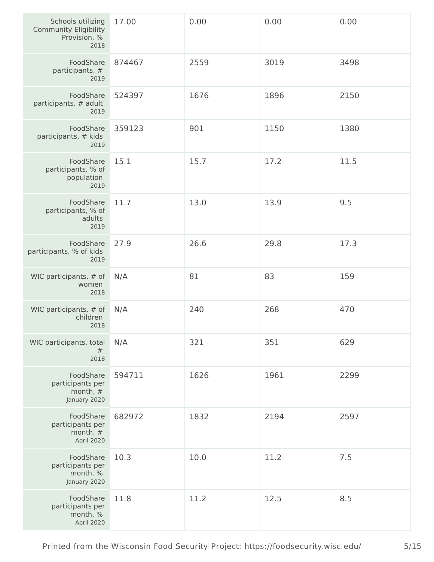| Schools utilizing<br><b>Community Eligibility</b><br>Provision, %<br>2018 | 17.00  | 0.00 | 0.00 | 0.00 |
|---------------------------------------------------------------------------|--------|------|------|------|
| FoodShare<br>participants, #<br>2019                                      | 874467 | 2559 | 3019 | 3498 |
| FoodShare<br>participants, # adult<br>2019                                | 524397 | 1676 | 1896 | 2150 |
| FoodShare<br>participants, # kids<br>2019                                 | 359123 | 901  | 1150 | 1380 |
| FoodShare<br>participants, % of<br>population<br>2019                     | 15.1   | 15.7 | 17.2 | 11.5 |
| FoodShare<br>participants, % of<br>adults<br>2019                         | 11.7   | 13.0 | 13.9 | 9.5  |
| FoodShare<br>participants, % of kids<br>2019                              | 27.9   | 26.6 | 29.8 | 17.3 |
| WIC participants, # of<br>women<br>2018                                   | N/A    | 81   | 83   | 159  |
| WIC participants, # of<br>children<br>2018                                | N/A    | 240  | 268  | 470  |
| WIC participants, total<br>#<br>2018                                      | N/A    | 321  | 351  | 629  |
| FoodShare<br>participants per<br>month, #<br>January 2020                 | 594711 | 1626 | 1961 | 2299 |
| FoodShare<br>participants per<br>month, $#$<br>April 2020                 | 682972 | 1832 | 2194 | 2597 |
| FoodShare<br>participants per<br>month, %<br>January 2020                 | 10.3   | 10.0 | 11.2 | 7.5  |
| FoodShare<br>participants per<br>month, %<br>April 2020                   | 11.8   | 11.2 | 12.5 | 8.5  |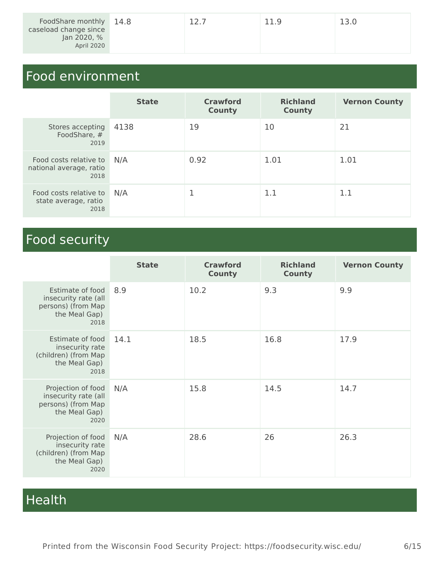| FoodShare monthly 14.8<br>caseload change since<br>Jan 2020, % | 12.7 | 11.9 | 13.0 |
|----------------------------------------------------------------|------|------|------|
| April 2020                                                     |      |      |      |

# Food environment

|                                                           | <b>State</b> | <b>Crawford</b><br><b>County</b> | <b>Richland</b><br><b>County</b> | <b>Vernon County</b> |
|-----------------------------------------------------------|--------------|----------------------------------|----------------------------------|----------------------|
| Stores accepting<br>FoodShare, #<br>2019                  | 4138         | 19                               | 10                               | 21                   |
| Food costs relative to<br>national average, ratio<br>2018 | N/A          | 0.92                             | 1.01                             | 1.01                 |
| Food costs relative to<br>state average, ratio<br>2018    | N/A          |                                  | 1.1                              | 1.1                  |

# Food security

|                                                                                           | <b>State</b> | <b>Crawford</b><br><b>County</b> | <b>Richland</b><br><b>County</b> | <b>Vernon County</b> |
|-------------------------------------------------------------------------------------------|--------------|----------------------------------|----------------------------------|----------------------|
| Estimate of food<br>insecurity rate (all<br>persons) (from Map<br>the Meal Gap)<br>2018   | 8.9          | 10.2                             | 9.3                              | 9.9                  |
| Estimate of food<br>insecurity rate<br>(children) (from Map<br>the Meal Gap)<br>2018      | 14.1         | 18.5                             | 16.8                             | 17.9                 |
| Projection of food<br>insecurity rate (all<br>persons) (from Map<br>the Meal Gap)<br>2020 | N/A          | 15.8                             | 14.5                             | 14.7                 |
| Projection of food<br>insecurity rate<br>(children) (from Map<br>the Meal Gap)<br>2020    | N/A          | 28.6                             | 26                               | 26.3                 |

# Health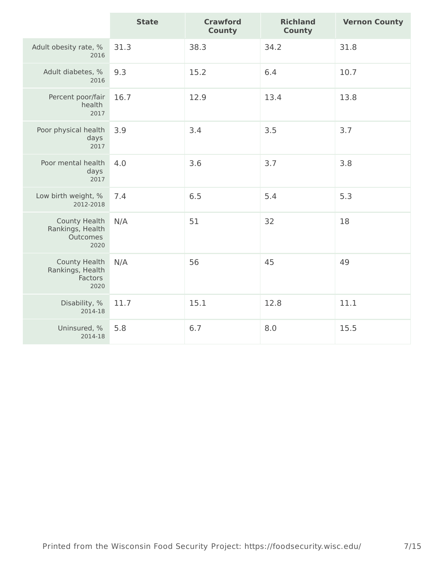|                                                              | <b>State</b> | <b>Crawford</b><br><b>County</b> | <b>Richland</b><br><b>County</b> | <b>Vernon County</b> |
|--------------------------------------------------------------|--------------|----------------------------------|----------------------------------|----------------------|
| Adult obesity rate, %<br>2016                                | 31.3         | 38.3                             | 34.2                             | 31.8                 |
| Adult diabetes, %<br>2016                                    | 9.3          | 15.2                             | 6.4                              | 10.7                 |
| Percent poor/fair<br>health<br>2017                          | 16.7         | 12.9                             | 13.4                             | 13.8                 |
| Poor physical health<br>days<br>2017                         | 3.9          | 3.4                              | 3.5                              | 3.7                  |
| Poor mental health<br>days<br>2017                           | 4.0          | 3.6                              | 3.7                              | 3.8                  |
| Low birth weight, %<br>2012-2018                             | 7.4          | 6.5                              | 5.4                              | 5.3                  |
| <b>County Health</b><br>Rankings, Health<br>Outcomes<br>2020 | N/A          | 51                               | 32                               | 18                   |
| <b>County Health</b><br>Rankings, Health<br>Factors<br>2020  | N/A          | 56                               | 45                               | 49                   |
| Disability, %<br>2014-18                                     | 11.7         | 15.1                             | 12.8                             | 11.1                 |
| Uninsured, %<br>2014-18                                      | 5.8          | 6.7                              | 8.0                              | 15.5                 |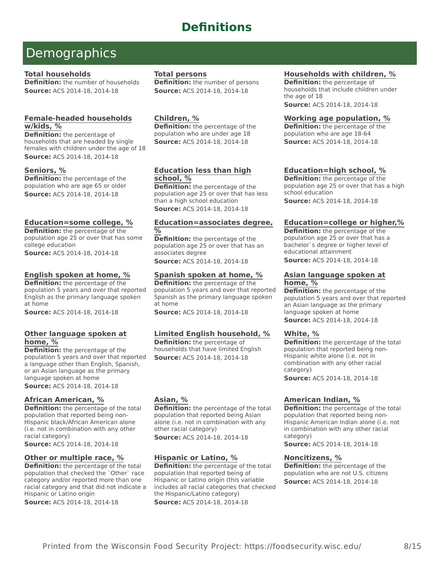# **Definitions**

# **Demographics**

### **Total households**

**Definition:** the number of households **Source:** ACS 2014-18, 2014-18

## **Female-headed households w/kids, %**

**Definition:** the percentage of households that are headed by single females with children under the age of 18 **Source:** ACS 2014-18, 2014-18

#### **Seniors, %**

**Definition:** the percentage of the population who are age 65 or older **Source:** ACS 2014-18, 2014-18

## **Education=some college, %**

**Definition:** the percentage of the population age 25 or over that has some college education **Source:** ACS 2014-18, 2014-18

## **English spoken at home, %**

**Definition:** the percentage of the population 5 years and over that reported English as the primary language spoken at home

**Source:** ACS 2014-18, 2014-18

#### **Other language spoken at home, %**

**Definition:** the percentage of the population 5 years and over that reported a language other than English, Spanish, or an Asian language as the primary language spoken at home

**Source:** ACS 2014-18, 2014-18

#### **African American, %**

**Definition:** the percentage of the total population that reported being non-Hispanic black/African American alone (i.e. not in combination with any other racial category)

**Source:** ACS 2014-18, 2014-18

#### **Other or multiple race, %**

**Definition:** the percentage of the total population that checked the `Other` race category and/or reported more than one racial category and that did not indicate a Hispanic or Latino origin

**Source:** ACS 2014-18, 2014-18

#### **Total persons**

**Definition:** the number of persons **Source:** ACS 2014-18, 2014-18

### **Children, %**

**Definition:** the percentage of the population who are under age 18 **Source:** ACS 2014-18, 2014-18

# **Education less than high school, %**

**Definition:** the percentage of the population age 25 or over that has less than a high school education **Source:** ACS 2014-18, 2014-18

#### **Education=associates degree, %**

**Definition:** the percentage of the population age 25 or over that has an associates degree **Source:** ACS 2014-18, 2014-18

# **Spanish spoken at home, %**

**Definition:** the percentage of the population 5 years and over that reported Spanish as the primary language spoken at home

**Source:** ACS 2014-18, 2014-18

#### **Limited English household, %**

**Definition:** the percentage of households that have limited English **Source:** ACS 2014-18, 2014-18

# **Asian, %**

**Definition:** the percentage of the total population that reported being Asian alone (i.e. not in combination with any other racial category)

**Source:** ACS 2014-18, 2014-18

#### **Hispanic or Latino, %**

**Definition:** the percentage of the total population that reported being of Hispanic or Latino origin (this variable includes all racial categories that checked the Hispanic/Latino category) **Source:** ACS 2014-18, 2014-18

### **Households with children, %**

**Definition:** the percentage of households that include children under the age of 18 **Source:** ACS 2014-18, 2014-18

### **Working age population, %**

**Definition:** the percentage of the population who are age 18-64 **Source:** ACS 2014-18, 2014-18

#### **Education=high school, %**

**Definition:** the percentage of the population age 25 or over that has a high school education **Source:** ACS 2014-18, 2014-18

#### **Education=college or higher,%**

**Definition:** the percentage of the population age 25 or over that has a bachelor`s degree or higher level of educational attainment

**Source:** ACS 2014-18, 2014-18

#### **Asian language spoken at home, %**

**Definition:** the percentage of the population 5 years and over that reported an Asian language as the primary language spoken at home **Source:** ACS 2014-18, 2014-18

#### **White, %**

**Definition:** the percentage of the total population that reported being non-Hispanic white alone (i.e. not in combination with any other racial category)

**Source:** ACS 2014-18, 2014-18

#### **American Indian, %**

**Definition:** the percentage of the total population that reported being non-Hispanic American Indian alone (i.e. not in combination with any other racial category)

**Source:** ACS 2014-18, 2014-18

#### **Noncitizens, %**

**Definition:** the percentage of the population who are not U.S. citizens **Source:** ACS 2014-18, 2014-18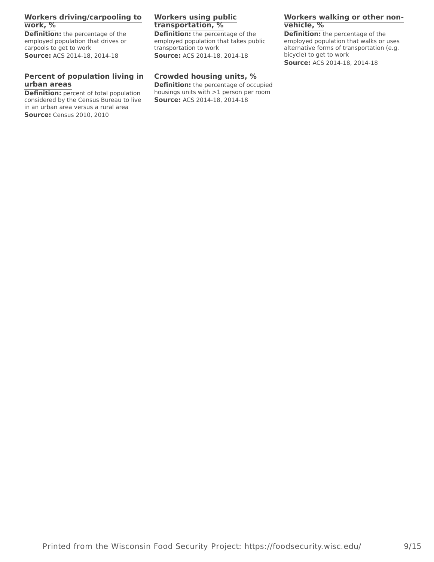## **Workers driving/carpooling to work, %**

**Definition:** the percentage of the employed population that drives or carpools to get to work **Source:** ACS 2014-18, 2014-18

## **Percent of population living in urban areas**

**Definition:** percent of total population considered by the Census Bureau to live in an urban area versus a rural area **Source:** Census 2010, 2010

## **Workers using public transportation, %**

e of the **Definition:** the percentage of the **Definition:** the per employed population that takes public transportation to work **Source:** ACS 2014-18, 2014-18

## **Crowded housing units, %**

**Definition:** the percentage of occupied housings units with >1 person per room **Source:** ACS 2014-18, 2014-18

### **Workers walking or other nonvehicle, %**

**Definition:** the percentage of the employed population that walks or uses alternative forms of transportation (e.g. bicycle) to get to work

**Source:** ACS 2014-18, 2014-18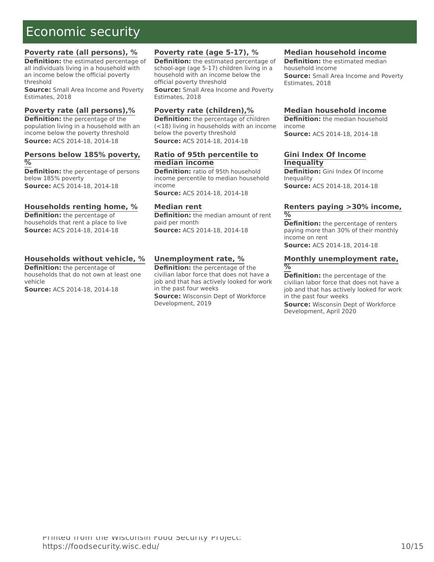# Economic security Project Home Project Home Project Home Project Home Project Home Project Home Project Home P

### **Poverty rate (all persons), %**

**Definition:** the estimated percentage of all individuals living in a household with an income below the official poverty threshold

**Source:** Small Area Income and Poverty Estimates, 2018

#### **Poverty rate (all persons),%**

**Definition:** the percentage of the population living in a household with an income below the poverty threshold **Source:** ACS 2014-18, 2014-18

#### **Persons below 185% poverty, %**

**Definition:** the percentage of persons below 185% poverty **Source:** ACS 2014-18, 2014-18

#### **Households renting home, %**

**Definition:** the percentage of households that rent a place to live **Source:** ACS 2014-18, 2014-18

## **Households without vehicle, %**

**Definition:** the percentage of households that do not own at least one vehicle **Source:** ACS 2014-18, 2014-18

## **Poverty rate (age 5-17), %**

**Definition:** the estimated percentage of school-age (age 5-17) children living in a household with an income below the

official poverty threshold **Source:** Small Area Income and Poverty Estimates, 2018

#### **Poverty rate (children),%**

**Definition:** the percentage of children (<18) living in households with an income below the poverty threshold **Source:** ACS 2014-18, 2014-18

#### **Ratio of 95th percentile to median income**

**Definition:** ratio of 95th household income percentile to median household income

**Source:** ACS 2014-18, 2014-18

#### **Median rent**

**Definition:** the median amount of rent paid per month **Source:** ACS 2014-18, 2014-18

#### **Unemployment rate, %**

**Definition:** the percentage of the civilian labor force that does not have a job and that has actively looked for work in the past four weeks

**Source:** Wisconsin Dept of Workforce Development, 2019

#### **Median household income**

**Definition:** the estimated median household income **Source:** Small Area Income and Poverty Estimates, 2018

#### **Median household income**

**Definition:** the median household income **Source:** ACS 2014-18, 2014-18

#### **Gini Index Of Income Inequality**

**Definition:** Gini Index Of Income **Inequality Source:** ACS 2014-18, 2014-18

#### **Renters paying >30% income, %**

**Definition:** the percentage of renters paying more than 30% of their monthly income on rent **Source:** ACS 2014-18, 2014-18

#### **Monthly unemployment rate, %**

**Definition:** the percentage of the civilian labor force that does not have a job and that has actively looked for work in the past four weeks

**Source:** Wisconsin Dept of Workforce Development, April 2020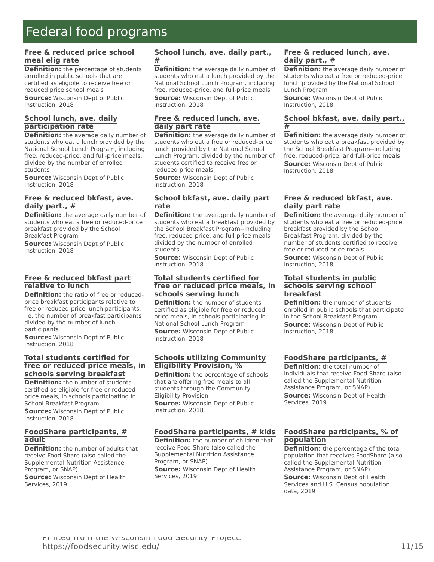# Federal food programs and the control of the security programs of the second security of the second second second second second second second second second second second second second second second second second second sec

#### **Free & reduced price school meal elig rate**

**Definition:** the percentage of students enrolled in public schools that are certified as eligible to receive free or reduced price school meals

**Source:** Wisconsin Dept of Public Instruction, 2018

#### **School lunch, ave. daily participation rate**

**Definition:** the average daily number of students who eat a lunch provided by the National School Lunch Program, including free, reduced-price, and full-price meals, divided by the number of enrolled students

**Source:** Wisconsin Dept of Public Instruction, 2018

#### **Free & reduced bkfast, ave. daily part., #**

**Definition:** the average daily number of students who eat a free or reduced-price breakfast provided by the School Breakfast Program

**Source:** Wisconsin Dept of Public Instruction, 2018

#### **Free & reduced bkfast part relative to lunch**

**Definition:** the ratio of free or reducedprice breakfast participants relative to free or reduced-price lunch participants, i.e. the number of breakfast participants divided by the number of lunch participants

**Source:** Wisconsin Dept of Public Instruction, 2018

#### **Total students certified for free or reduced price meals, in schools serving breakfast**

**Definition:** the number of students certified as eligible for free or reduced price meals, in schools participating in School Breakfast Program **Source:** Wisconsin Dept of Public Instruction, 2018

#### **FoodShare participants, # adult**

**Definition:** the number of adults that receive Food Share (also called the Supplemental Nutrition Assistance Program, or SNAP) **Source:** Wisconsin Dept of Health Services, 2019

#### **School lunch, ave. daily part., #**

**Definition:** the average daily number of students who eat a lunch provided by the National School Lunch Program, including free, reduced-price, and full-price meals **Source:** Wisconsin Dept of Public Instruction, 2018

### **Free & reduced lunch, ave. daily part rate**

**Definition:** the average daily number of students who eat a free or reduced-price lunch provided by the National School Lunch Program, divided by the number of students certified to receive free or reduced price meals

**Source:** Wisconsin Dept of Public Instruction, 2018

#### **School bkfast, ave. daily part rate**

**Definition:** the average daily number of students who eat a breakfast provided by the School Breakfast Program--including free, reduced-price, and full-price meals- divided by the number of enrolled students

**Source:** Wisconsin Dept of Public Instruction, 2018

#### **Total students certified for free or reduced price meals, in schools serving lunch**

**Definition:** the number of students certified as eligible for free or reduced price meals, in schools participating in National School Lunch Program **Source:** Wisconsin Dept of Public

Instruction, 2018

#### **Schools utilizing Community Eligibility Provision, %**

**Definition:** the percentage of schools that are offering free meals to all students through the Community Eligibility Provision **Source:** Wisconsin Dept of Public

Instruction, 2018

# **FoodShare participants, # kids**

**Definition:** the number of children that receive Food Share (also called the Supplemental Nutrition Assistance Program, or SNAP) **Source:** Wisconsin Dept of Health Services, 2019

### **Free & reduced lunch, ave. daily part., #**

**Definition:** the average daily number of students who eat a free or reduced-price lunch provided by the National School Lunch Program

**Source:** Wisconsin Dept of Public Instruction, 2018

#### **School bkfast, ave. daily part., #**

**Definition:** the average daily number of students who eat a breakfast provided by the School Breakfast Program--including free, reduced-price, and full-price meals **Source:** Wisconsin Dept of Public Instruction, 2018

# **Free & reduced bkfast, ave. daily part rate**

**Definition:** the average daily number of students who eat a free or reduced-price breakfast provided by the School Breakfast Program, divided by the number of students certified to receive free or reduced price meals **Source:** Wisconsin Dept of Public Instruction, 2018

#### **Total students in public schools serving school breakfast**

**Definition:** the number of students enrolled in public schools that participate in the School Breakfast Program **Source:** Wisconsin Dept of Public Instruction, 2018

#### **FoodShare participants, #**

**Definition:** the total number of individuals that receive Food Share (also called the Supplemental Nutrition Assistance Program, or SNAP) **Source:** Wisconsin Dept of Health Services, 2019

## **FoodShare participants, % of population**

**Definition:** the percentage of the total population that receives FoodShare (also called the Supplemental Nutrition Assistance Program, or SNAP) **Source:** Wisconsin Dept of Health Services and U.S. Census population data, 2019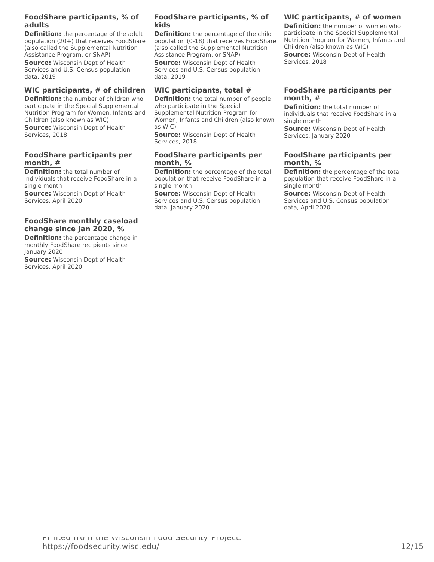## **FoodShare participants, % of adults**

**Definition:** the percentage of the adult population (20+) that receives FoodShare (also called the Supplemental Nutrition Assistance Program, or SNAP)

**Source:** Wisconsin Dept of Health Services and U.S. Census population data, 2019

#### **WIC participants, # of children**

**Definition:** the number of children who participate in the Special Supplemental Nutrition Program for Women, Infants and Children (also known as WIC)

**Source:** Wisconsin Dept of Health Services, 2018

#### **FoodShare participants per month, #**

**Definition:** the total number of individuals that receive FoodShare in a single month

**Source:** Wisconsin Dept of Health Services, April 2020

#### **FoodShare monthly caseload change since Jan 2020, %**

**Definition:** the percentage change in monthly FoodShare recipients since January 2020

**Source:** Wisconsin Dept of Health Services, April 2020

## **FoodShare participants, % of kids**

e of the adult **Definition:** the percentage of the child participate in the Sp population (0-18) that receives FoodShare (also called the Supplemental Nutrition Assistance Program, or SNAP)

**Source:** Wisconsin Dept of Health Services and U.S. Census population data, 2019

#### **WIC participants, total #**

**Definition:** the total number of people who participate in the Special Supplemental Nutrition Program for Women, Infants and Children (also known as WIC)

**Source:** Wisconsin Dept of Health Services, 2018

#### **FoodShare participants per month, %**

**Definition:** the percentage of the total population that receive FoodShare in a single month

**Source:** Wisconsin Dept of Health Services and U.S. Census population data, January 2020

#### **WIC participants, # of women**

**Definition:** the number of women who participate in the Special Supplemental Nutrition Program for Women, Infants and Children (also known as WIC) **Source:** Wisconsin Dept of Health Services, 2018

#### **FoodShare participants per month, #**

**Definition:** the total number of individuals that receive FoodShare in a single month **Source:** Wisconsin Dept of Health

Services, January 2020

#### **FoodShare participants per month, %**

**Definition:** the percentage of the total population that receive FoodShare in a single month

**Source:** Wisconsin Dept of Health Services and U.S. Census population data, April 2020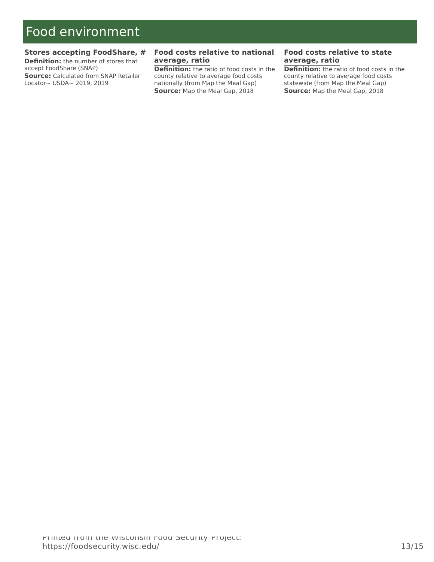# Food environment and the environment of the environment of the environment of the environment of the environmen

#### **Stores accepting FoodShare, #**

**Definition:** the number of stores that accept FoodShare (SNAP) **Source:** Calculated from SNAP Retailer Locator~ USDA~ 2019, 2019

### **Food costs relative to national average, ratio**

**Definition:** the ratio of food costs in the county relative to average food costs nationally (from Map the Meal Gap) **Source:** Map the Meal Gap, 2018

#### **Food costs relative to state average, ratio**

**Definition:** the ratio of food costs in the county relative to average food costs statewide (from Map the Meal Gap) **Source:** Map the Meal Gap, 2018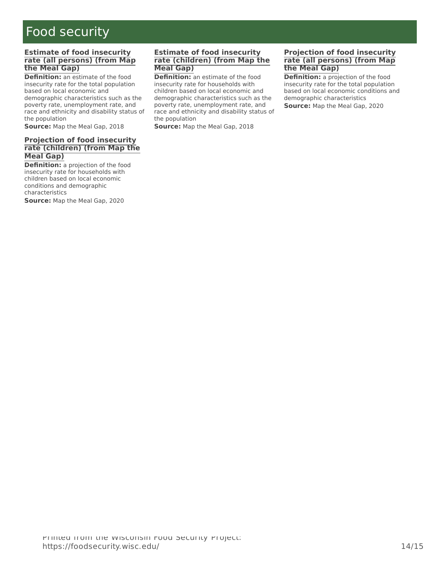#### $\mathcal{N}$ Food security

#### **Estimate of food insecurity rate (all persons) (from Map the Meal Gap)**

**Definition:** an estimate of the food insecurity rate for the total population based on local economic and demographic characteristics such as the poverty rate, unemployment rate, and race and ethnicity and disability status of the population

**Source:** Map the Meal Gap, 2018

#### **Projection of food insecurity rate (children) (from Map the Meal Gap)**

**Definition:** a projection of the food insecurity rate for households with children based on local economic conditions and demographic characteristics

**Source:** Map the Meal Gap, 2020

#### **Estimate of food insecurity rate (children) (from Map the Meal Gap)**

**Definition:** an estimate of the food insecurity rate for households with children based on local economic and demographic characteristics such as the poverty rate, unemployment rate, and race and ethnicity and disability status of the population

**Source:** Map the Meal Gap, 2018

#### **Projection of food insecurity rate (all persons) (from Map the Meal Gap)**

**Definition:** a projection of the food insecurity rate for the total population based on local economic conditions and demographic characteristics **Source:** Map the Meal Gap, 2020